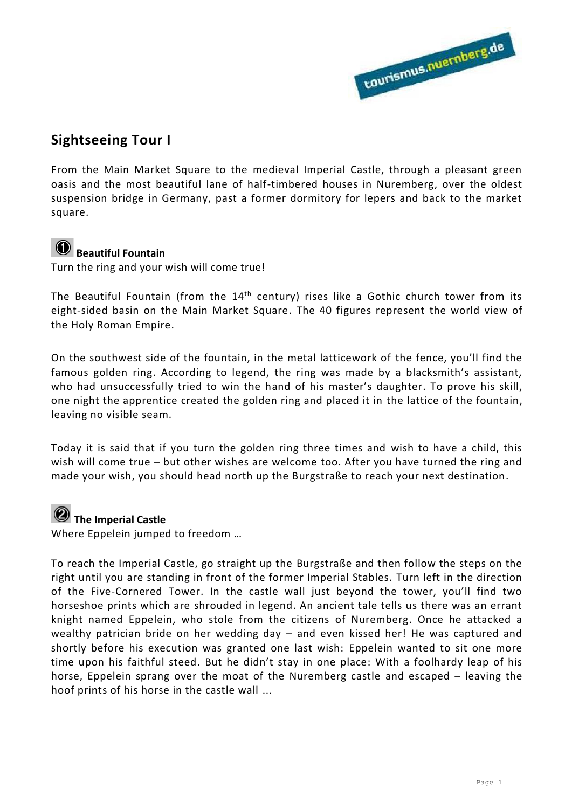

### **Sightseeing Tour I**

From the Main Market Square to the medieval Imperial Castle, through a pleasant green oasis and the most beautiful lane of half-timbered houses in Nuremberg, over the oldest suspension bridge in Germany, past a former dormitory for lepers and back to the market square.

## **<sup><b>O**</sup> Beautiful Fountain

Turn the ring and your wish will come true!

The Beautiful Fountain (from the  $14<sup>th</sup>$  century) rises like a Gothic church tower from its eight-sided basin on the Main Market Square. The 40 figures represent the world view of the Holy Roman Empire.

On the southwest side of the fountain, in the metal latticework of the fence, you'll find the famous golden ring. According to legend, the ring was made by a blacksmith's assistant, who had unsuccessfully tried to win the hand of his master's daughter. To prove his skill, one night the apprentice created the golden ring and placed it in the lattice of the fountain, leaving no visible seam.

Today it is said that if you turn the golden ring three times and wish to have a child, this wish will come true – but other wishes are welcome too. After you have turned the ring and made your wish, you should head north up the Burgstraße to reach your next destination.

# **<sup>***O***</sup>** The Imperial Castle

Where Eppelein jumped to freedom …

To reach the Imperial Castle, go straight up the Burgstraße and then follow the steps on the right until you are standing in front of the former Imperial Stables. Turn left in the direction of the Five-Cornered Tower. In the castle wall just beyond the tower, you'll find two horseshoe prints which are shrouded in legend. An ancient tale tells us there was an errant knight named Eppelein, who stole from the citizens of Nuremberg. Once he attacked a wealthy patrician bride on her wedding day – and even kissed her! He was captured and shortly before his execution was granted one last wish: Eppelein wanted to sit one more time upon his faithful steed. But he didn't stay in one place: With a foolhardy leap of his horse, Eppelein sprang over the moat of the Nuremberg castle and escaped – leaving the hoof prints of his horse in the castle wall ...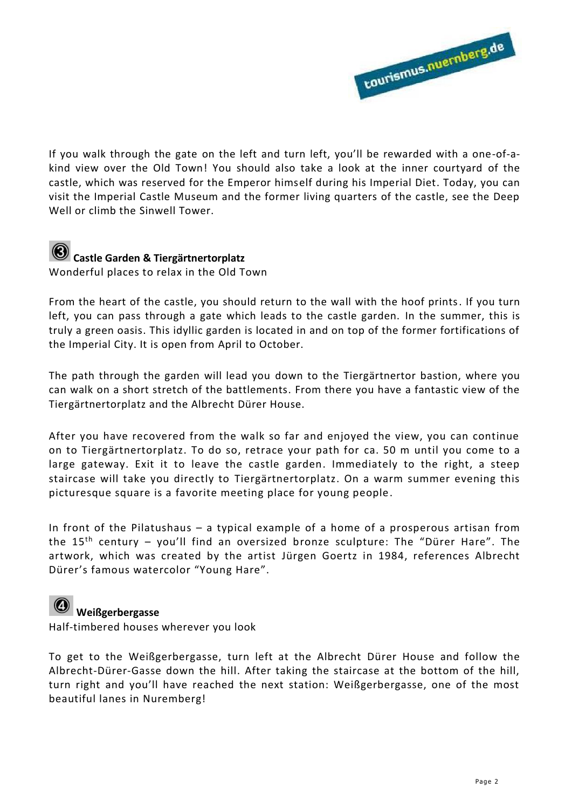

If you walk through the gate on the left and turn left, you'll be rewarded with a one-of-akind view over the Old Town! You should also take a look at the inner courtyard of the castle, which was reserved for the Emperor himself during his Imperial Diet. Today, you can visit the Imperial Castle Museum and the former living quarters of the castle, see the Deep Well or climb the Sinwell Tower.



# **Castle Garden & Tiergärtnertorplatz**

Wonderful places to relax in the Old Town

From the heart of the castle, you should return to the wall with the hoof prints. If you turn left, you can pass through a gate which leads to the castle garden. In the summer, this is truly a green oasis. This idyllic garden is located in and on top of the former fortifications of the Imperial City. It is open from April to October.

The path through the garden will lead you down to the Tiergärtnertor bastion, where you can walk on a short stretch of the battlements. From there you have a fantastic view of the Tiergärtnertorplatz and the Albrecht Dürer House.

After you have recovered from the walk so far and enjoyed the view, you can continue on to Tiergärtnertorplatz. To do so, retrace your path for ca. 50 m until you come to a large gateway. Exit it to leave the castle garden. Immediately to the right, a steep staircase will take you directly to Tiergärtnertorplatz. On a warm summer evening this picturesque square is a favorite meeting place for young people.

In front of the Pilatushaus – a typical example of a home of a prosperous artisan from the  $15<sup>th</sup>$  century – you'll find an oversized bronze sculpture: The "Dürer Hare". The artwork, which was created by the artist Jürgen Goertz in 1984, references Albrecht Dürer's famous watercolor "Young Hare".

#### **Weißgerbergasse**

Half-timbered houses wherever you look

To get to the Weißgerbergasse, turn left at the Albrecht Dürer House and follow the Albrecht-Dürer-Gasse down the hill. After taking the staircase at the bottom of the hill, turn right and you'll have reached the next station: Weißgerbergasse, one of the most beautiful lanes in Nuremberg!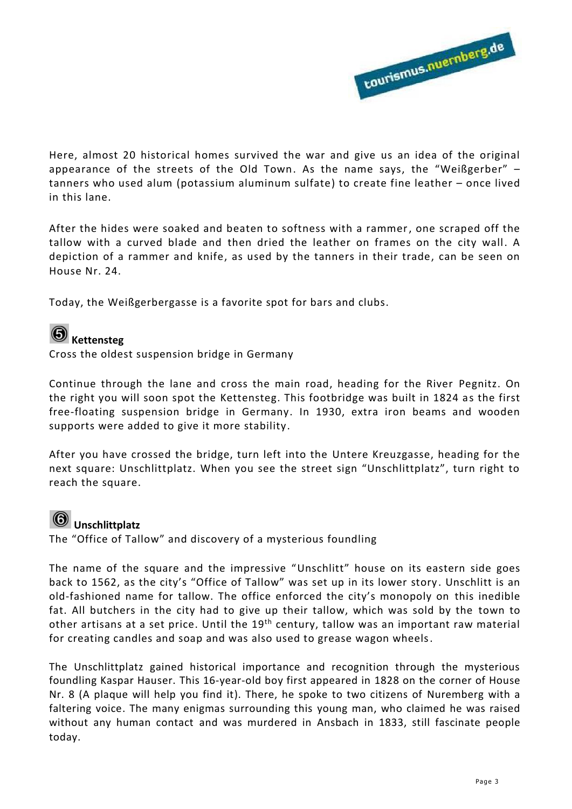

Here, almost 20 historical homes survived the war and give us an idea of the original appearance of the streets of the Old Town. As the name says, the "Weißgerber" – tanners who used alum (potassium aluminum sulfate) to create fine leather – once lived in this lane.

After the hides were soaked and beaten to softness with a rammer, one scraped off the tallow with a curved blade and then dried the leather on frames on the city wall. A depiction of a rammer and knife, as used by the tanners in their trade, can be seen on House Nr. 24.

Today, the Weißgerbergasse is a favorite spot for bars and clubs.

# **6** Kettensteg

Cross the oldest suspension bridge in Germany

Continue through the lane and cross the main road, heading for the River Pegnitz. On the right you will soon spot the Kettensteg. This footbridge was built in 1824 as the first free-floating suspension bridge in Germany. In 1930, extra iron beams and wooden supports were added to give it more stability.

After you have crossed the bridge, turn left into the Untere Kreuzgasse, heading for the next square: Unschlittplatz. When you see the street sign "Unschlittplatz", turn right to reach the square.

#### **Unschlittplatz**

The "Office of Tallow" and discovery of a mysterious foundling

The name of the square and the impressive "Unschlitt" house on its eastern side goes back to 1562, as the city's "Office of Tallow" was set up in its lower story. Unschlitt is an old-fashioned name for tallow. The office enforced the city's monopoly on this inedible fat. All butchers in the city had to give up their tallow, which was sold by the town to other artisans at a set price. Until the 19<sup>th</sup> century, tallow was an important raw material for creating candles and soap and was also used to grease wagon wheels .

The Unschlittplatz gained historical importance and recognition through the mysterious foundling Kaspar Hauser. This 16-year-old boy first appeared in 1828 on the corner of House Nr. 8 (A plaque will help you find it). There, he spoke to two citizens of Nuremberg with a faltering voice. The many enigmas surrounding this young man, who claimed he was raised without any human contact and was murdered in Ansbach in 1833, still fascinate people today.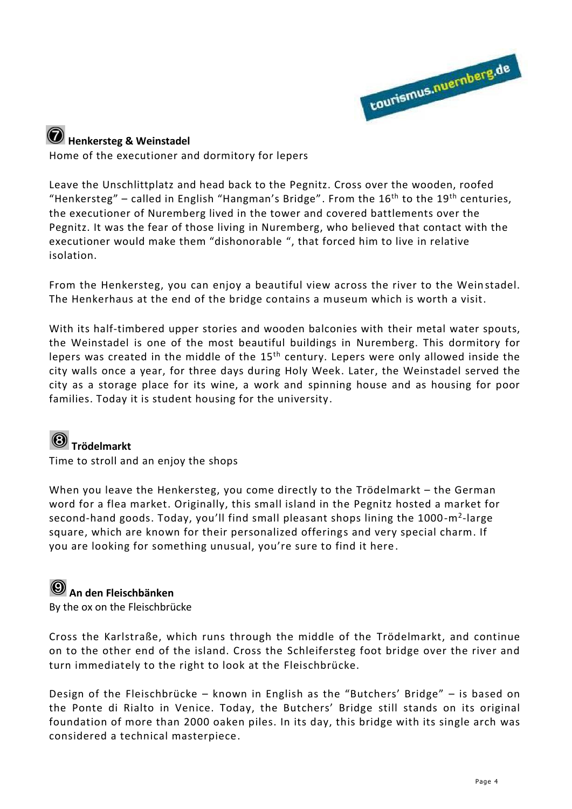

# **Henkersteg & Weinstadel**

Home of the executioner and dormitory for lepers

Leave the Unschlittplatz and head back to the Pegnitz. Cross over the wooden, roofed "Henkersteg" – called in English "Hangman's Bridge". From the  $16<sup>th</sup>$  to the  $19<sup>th</sup>$  centuries, the executioner of Nuremberg lived in the tower and covered battlements over the Pegnitz. It was the fear of those living in Nuremberg, who believed that contact with the executioner would make them "dishonorable ", that forced him to live in relative isolation.

From the Henkersteg, you can enjoy a beautiful view across the river to the Wein stadel. The Henkerhaus at the end of the bridge contains a museum which is worth a visit.

With its half-timbered upper stories and wooden balconies with their metal water spouts, the Weinstadel is one of the most beautiful buildings in Nuremberg. This dormitory for lepers was created in the middle of the 15<sup>th</sup> century. Lepers were only allowed inside the city walls once a year, for three days during Holy Week. Later, the Weinstadel served the city as a storage place for its wine, a work and spinning house and as housing for poor families. Today it is student housing for the university.

# **Trödelmarkt**

Time to stroll and an enjoy the shops

When you leave the Henkersteg, you come directly to the Trödelmarkt – the German word for a flea market. Originally, this small island in the Pegnitz hosted a market for second-hand goods. Today, you'll find small pleasant shops lining the 1000-m<sup>2</sup>-large square, which are known for their personalized offerings and very special charm. If you are looking for something unusual, you're sure to find it here.

## **An den Fleischbänken**

By the ox on the Fleischbrücke

Cross the Karlstraße, which runs through the middle of the Trödelmarkt, and continue on to the other end of the island. Cross the Schleifersteg foot bridge over the river and turn immediately to the right to look at the Fleischbrücke.

Design of the Fleischbrücke – known in English as the "Butchers' Bridge" – is based on the Ponte di Rialto in Venice. Today, the Butchers' Bridge still stands on its original foundation of more than 2000 oaken piles. In its day, this bridge with its single arch was considered a technical masterpiece.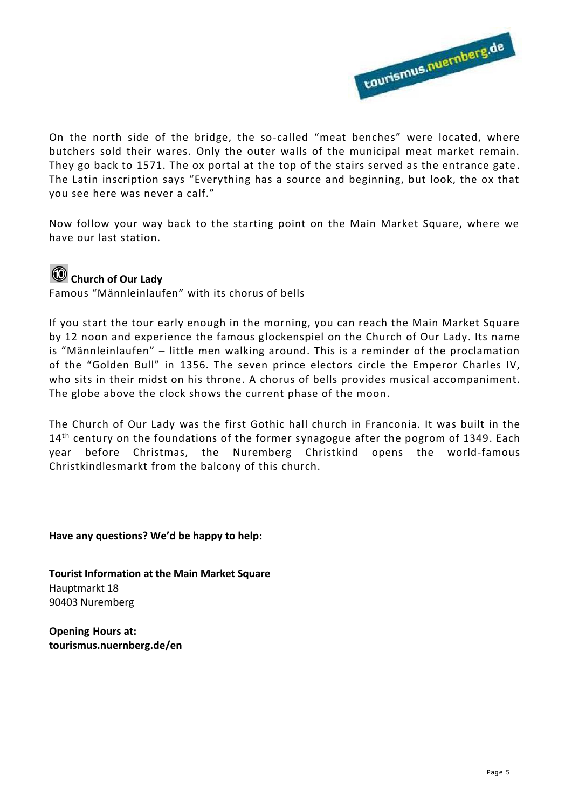

On the north side of the bridge, the so-called "meat benches" were located, where butchers sold their wares. Only the outer walls of the municipal meat market remain. They go back to 1571. The ox portal at the top of the stairs served as the entrance gate . The Latin inscription says "Everything has a source and beginning, but look, the ox that you see here was never a calf."

Now follow your way back to the starting point on the Main Market Square, where we have our last station.

# **Church of Our Lady**

Famous "Männleinlaufen" with its chorus of bells

If you start the tour early enough in the morning, you can reach the Main Market Square by 12 noon and experience the famous glockenspiel on the Church of Our Lady. Its name is "Männleinlaufen" – little men walking around. This is a reminder of the proclamation of the "Golden Bull" in 1356. The seven prince electors circle the Emperor Charles IV, who sits in their midst on his throne. A chorus of bells provides musical accompaniment. The globe above the clock shows the current phase of the moon.

The Church of Our Lady was the first Gothic hall church in Franconia. It was built in the 14<sup>th</sup> century on the foundations of the former synagogue after the pogrom of 1349. Each year before Christmas, the Nuremberg Christkind opens the world-famous Christkindlesmarkt from the balcony of this church.

**Have any questions? We'd be happy to help:** 

**Tourist Information at the Main Market Square**  Hauptmarkt 18 90403 Nuremberg

**Opening Hours at: tourismus.nuernberg.de/en**